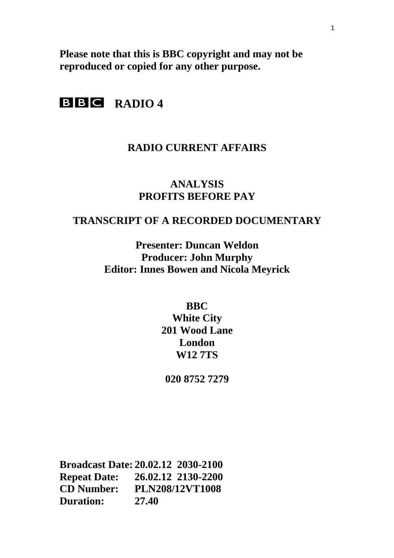**Please note that this is BBC copyright and may not be reproduced or copied for any other purpose.** 

# **BBC** RADIO 4

# **RADIO CURRENT AFFAIRS**

# **ANALYSIS PROFITS BEFORE PAY**

# **TRANSCRIPT OF A RECORDED DOCUMENTARY**

**Presenter: Duncan Weldon Producer: John Murphy Editor: Innes Bowen and Nicola Meyrick** 

**BBC** 

**White City 201 Wood Lane London W12 7TS** 

**020 8752 7279** 

**Broadcast Date: 20.02.12 2030-2100 Repeat Date: 26.02.12 2130-2200 CD Number: PLN208/12VT1008 Duration: 27.40**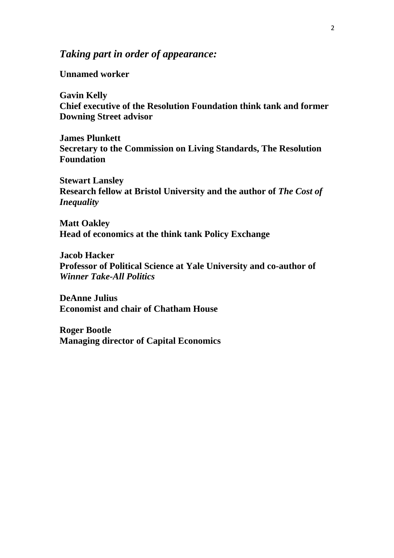# *Taking part in order of appearance:*

**Unnamed worker** 

**Gavin Kelly Chief executive of the Resolution Foundation think tank and former Downing Street advisor** 

**James Plunkett Secretary to the Commission on Living Standards, The Resolution Foundation** 

**Stewart Lansley Research fellow at Bristol University and the author of** *The Cost of Inequality* 

**Matt Oakley Head of economics at the think tank Policy Exchange** 

**Jacob Hacker Professor of Political Science at Yale University and co-author of**  *Winner Take-All Politics*

**DeAnne Julius Economist and chair of Chatham House** 

**Roger Bootle Managing director of Capital Economics**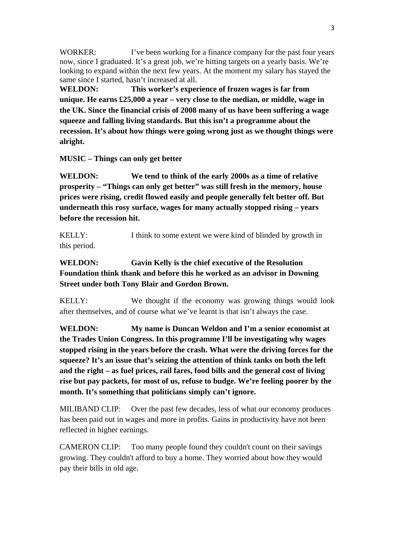WORKER: I've been working for a finance company for the past four years now, since I graduated. It's a great job, we're hitting targets on a yearly basis. We're looking to expand within the next few years. At the moment my salary has stayed the same since I started, hasn't increased at all.

**WELDON: This worker's experience of frozen wages is far from unique. He earns £25,000 a year – very close to the median, or middle, wage in the UK. Since the financial crisis of 2008 many of us have been suffering a wage squeeze and falling living standards. But this isn't a programme about the recession. It's about how things were going wrong just as we thought things were alright.** 

**MUSIC – Things can only get better** 

**WELDON: We tend to think of the early 2000s as a time of relative prosperity – "Things can only get better" was still fresh in the memory, house prices were rising, credit flowed easily and people generally felt better off. But underneath this rosy surface, wages for many actually stopped rising – years before the recession hit.** 

KELLY: I think to some extent we were kind of blinded by growth in this period.

## **WELDON: Gavin Kelly is the chief executive of the Resolution Foundation think thank and before this he worked as an advisor in Downing Street under both Tony Blair and Gordon Brown.**

KELLY: We thought if the economy was growing things would look after themselves, and of course what we've learnt is that isn't always the case.

**WELDON: My name is Duncan Weldon and I'm a senior economist at the Trades Union Congress. In this programme I'll be investigating why wages stopped rising in the years before the crash. What were the driving forces for the squeeze? It's an issue that's seizing the attention of think tanks on both the left and the right – as fuel prices, rail fares, food bills and the general cost of living rise but pay packets, for most of us, refuse to budge. We're feeling poorer by the month. It's something that politicians simply can't ignore.** 

MILIBAND CLIP: Over the past few decades, less of what our economy produces has been paid out in wages and more in profits. Gains in productivity have not been reflected in higher earnings.

CAMERON CLIP: Too many people found they couldn't count on their savings growing. They couldn't afford to buy a home. They worried about how they would pay their bills in old age.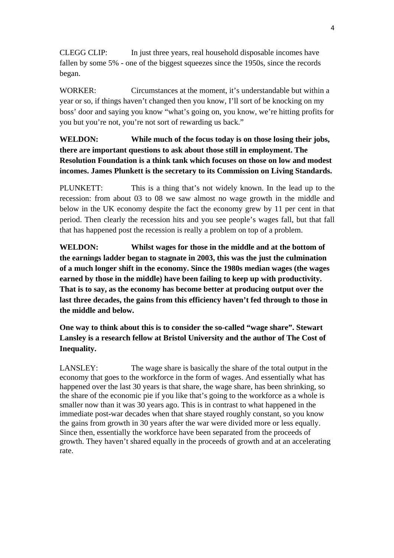CLEGG CLIP: In just three years, real household disposable incomes have fallen by some 5% - one of the biggest squeezes since the 1950s, since the records began.

WORKER: Circumstances at the moment, it's understandable but within a year or so, if things haven't changed then you know, I'll sort of be knocking on my boss' door and saying you know "what's going on, you know, we're hitting profits for you but you're not, you're not sort of rewarding us back."

## **WELDON: While much of the focus today is on those losing their jobs, there are important questions to ask about those still in employment. The Resolution Foundation is a think tank which focuses on those on low and modest incomes. James Plunkett is the secretary to its Commission on Living Standards.**

PLUNKETT: This is a thing that's not widely known. In the lead up to the recession: from about 03 to 08 we saw almost no wage growth in the middle and below in the UK economy despite the fact the economy grew by 11 per cent in that period. Then clearly the recession hits and you see people's wages fall, but that fall that has happened post the recession is really a problem on top of a problem.

**WELDON: Whilst wages for those in the middle and at the bottom of the earnings ladder began to stagnate in 2003, this was the just the culmination of a much longer shift in the economy. Since the 1980s median wages (the wages earned by those in the middle) have been failing to keep up with productivity. That is to say, as the economy has become better at producing output over the last three decades, the gains from this efficiency haven't fed through to those in the middle and below.** 

**One way to think about this is to consider the so-called "wage share". Stewart Lansley is a research fellow at Bristol University and the author of The Cost of Inequality.** 

LANSLEY: The wage share is basically the share of the total output in the economy that goes to the workforce in the form of wages. And essentially what has happened over the last 30 years is that share, the wage share, has been shrinking, so the share of the economic pie if you like that's going to the workforce as a whole is smaller now than it was 30 years ago. This is in contrast to what happened in the immediate post-war decades when that share stayed roughly constant, so you know the gains from growth in 30 years after the war were divided more or less equally. Since then, essentially the workforce have been separated from the proceeds of growth. They haven't shared equally in the proceeds of growth and at an accelerating rate.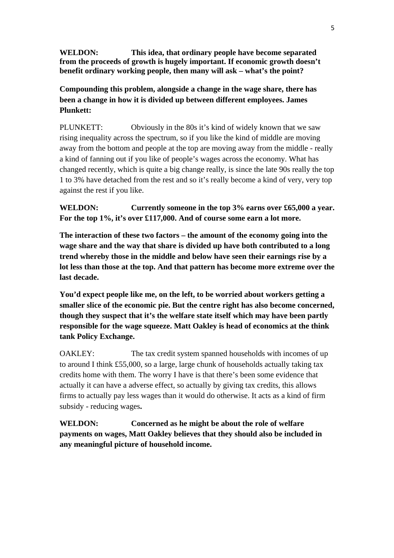**WELDON: This idea, that ordinary people have become separated from the proceeds of growth is hugely important. If economic growth doesn't benefit ordinary working people, then many will ask – what's the point?** 

**Compounding this problem, alongside a change in the wage share, there has been a change in how it is divided up between different employees. James Plunkett:**

PLUNKETT: Obviously in the 80s it's kind of widely known that we saw rising inequality across the spectrum, so if you like the kind of middle are moving away from the bottom and people at the top are moving away from the middle - really a kind of fanning out if you like of people's wages across the economy. What has changed recently, which is quite a big change really, is since the late 90s really the top 1 to 3% have detached from the rest and so it's really become a kind of very, very top against the rest if you like.

**WELDON: Currently someone in the top 3% earns over £65,000 a year. For the top 1%, it's over £117,000. And of course some earn a lot more.** 

**The interaction of these two factors – the amount of the economy going into the wage share and the way that share is divided up have both contributed to a long trend whereby those in the middle and below have seen their earnings rise by a lot less than those at the top. And that pattern has become more extreme over the last decade.** 

**You'd expect people like me, on the left, to be worried about workers getting a smaller slice of the economic pie. But the centre right has also become concerned, though they suspect that it's the welfare state itself which may have been partly responsible for the wage squeeze. Matt Oakley is head of economics at the think tank Policy Exchange.** 

OAKLEY: The tax credit system spanned households with incomes of up to around I think £55,000, so a large, large chunk of households actually taking tax credits home with them. The worry I have is that there's been some evidence that actually it can have a adverse effect, so actually by giving tax credits, this allows firms to actually pay less wages than it would do otherwise. It acts as a kind of firm subsidy - reducing wages**.** 

**WELDON: Concerned as he might be about the role of welfare payments on wages, Matt Oakley believes that they should also be included in any meaningful picture of household income.**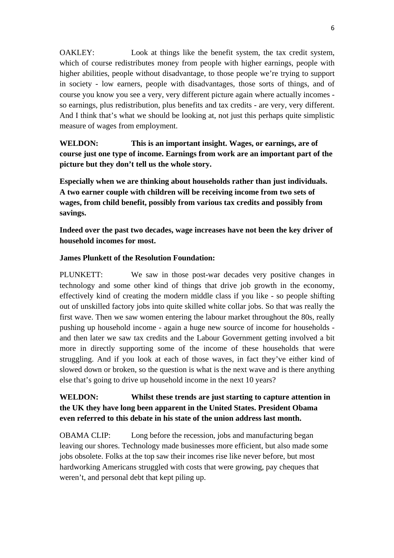OAKLEY: Look at things like the benefit system, the tax credit system, which of course redistributes money from people with higher earnings, people with higher abilities, people without disadvantage, to those people we're trying to support in society - low earners, people with disadvantages, those sorts of things, and of course you know you see a very, very different picture again where actually incomes so earnings, plus redistribution, plus benefits and tax credits - are very, very different. And I think that's what we should be looking at, not just this perhaps quite simplistic measure of wages from employment.

**WELDON: This is an important insight. Wages, or earnings, are of course just one type of income. Earnings from work are an important part of the picture but they don't tell us the whole story.** 

**Especially when we are thinking about households rather than just individuals. A two earner couple with children will be receiving income from two sets of wages, from child benefit, possibly from various tax credits and possibly from savings.** 

**Indeed over the past two decades, wage increases have not been the key driver of household incomes for most.** 

#### **James Plunkett of the Resolution Foundation:**

PLUNKETT: We saw in those post-war decades very positive changes in technology and some other kind of things that drive job growth in the economy, effectively kind of creating the modern middle class if you like - so people shifting out of unskilled factory jobs into quite skilled white collar jobs. So that was really the first wave. Then we saw women entering the labour market throughout the 80s, really pushing up household income - again a huge new source of income for households and then later we saw tax credits and the Labour Government getting involved a bit more in directly supporting some of the income of these households that were struggling. And if you look at each of those waves, in fact they've either kind of slowed down or broken, so the question is what is the next wave and is there anything else that's going to drive up household income in the next 10 years?

## **WELDON: Whilst these trends are just starting to capture attention in the UK they have long been apparent in the United States. President Obama even referred to this debate in his state of the union address last month.**

OBAMA CLIP: Long before the recession, jobs and manufacturing began leaving our shores. Technology made businesses more efficient, but also made some jobs obsolete. Folks at the top saw their incomes rise like never before, but most hardworking Americans struggled with costs that were growing, pay cheques that weren't, and personal debt that kept piling up.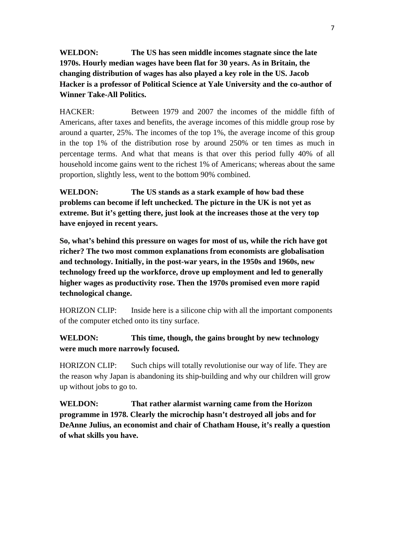**WELDON: The US has seen middle incomes stagnate since the late 1970s. Hourly median wages have been flat for 30 years. As in Britain, the changing distribution of wages has also played a key role in the US. Jacob Hacker is a professor of Political Science at Yale University and the co-author of Winner Take-All Politics.** 

HACKER: Between 1979 and 2007 the incomes of the middle fifth of Americans, after taxes and benefits, the average incomes of this middle group rose by around a quarter, 25%. The incomes of the top 1%, the average income of this group in the top 1% of the distribution rose by around 250% or ten times as much in percentage terms. And what that means is that over this period fully 40% of all household income gains went to the richest 1% of Americans; whereas about the same proportion, slightly less, went to the bottom 90% combined.

**WELDON: The US stands as a stark example of how bad these problems can become if left unchecked. The picture in the UK is not yet as extreme. But it's getting there, just look at the increases those at the very top have enjoyed in recent years.** 

**So, what's behind this pressure on wages for most of us, while the rich have got richer? The two most common explanations from economists are globalisation and technology. Initially, in the post-war years, in the 1950s and 1960s, new technology freed up the workforce, drove up employment and led to generally higher wages as productivity rose. Then the 1970s promised even more rapid technological change.** 

HORIZON CLIP: Inside here is a silicone chip with all the important components of the computer etched onto its tiny surface.

**WELDON: This time, though, the gains brought by new technology were much more narrowly focused.** 

HORIZON CLIP: Such chips will totally revolutionise our way of life. They are the reason why Japan is abandoning its ship-building and why our children will grow up without jobs to go to.

**WELDON: That rather alarmist warning came from the Horizon programme in 1978. Clearly the microchip hasn't destroyed all jobs and for DeAnne Julius, an economist and chair of Chatham House, it's really a question of what skills you have.**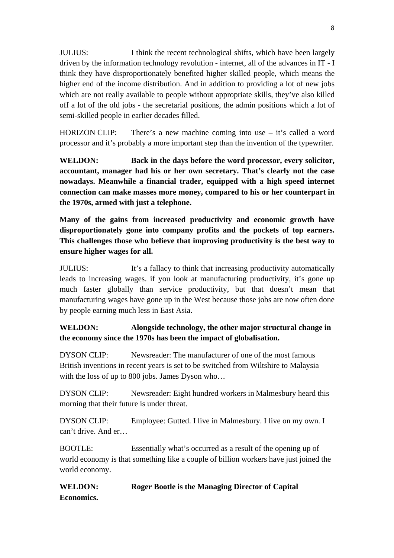JULIUS: I think the recent technological shifts, which have been largely driven by the information technology revolution - internet, all of the advances in IT - I think they have disproportionately benefited higher skilled people, which means the higher end of the income distribution. And in addition to providing a lot of new jobs which are not really available to people without appropriate skills, they've also killed off a lot of the old jobs - the secretarial positions, the admin positions which a lot of semi-skilled people in earlier decades filled.

HORIZON CLIP: There's a new machine coming into use – it's called a word processor and it's probably a more important step than the invention of the typewriter.

**WELDON: Back in the days before the word processor, every solicitor, accountant, manager had his or her own secretary. That's clearly not the case nowadays. Meanwhile a financial trader, equipped with a high speed internet connection can make masses more money, compared to his or her counterpart in the 1970s, armed with just a telephone.** 

**Many of the gains from increased productivity and economic growth have disproportionately gone into company profits and the pockets of top earners. This challenges those who believe that improving productivity is the best way to ensure higher wages for all.** 

JULIUS: It's a fallacy to think that increasing productivity automatically leads to increasing wages. if you look at manufacturing productivity, it's gone up much faster globally than service productivity, but that doesn't mean that manufacturing wages have gone up in the West because those jobs are now often done by people earning much less in East Asia.

# **WELDON: Alongside technology, the other major structural change in the economy since the 1970s has been the impact of globalisation.**

DYSON CLIP: Newsreader: The manufacturer of one of the most famous British inventions in recent years is set to be switched from Wiltshire to Malaysia with the loss of up to 800 jobs. James Dyson who...

DYSON CLIP: Newsreader: Eight hundred workers in Malmesbury heard this morning that their future is under threat.

DYSON CLIP: Employee: Gutted. I live in Malmesbury. I live on my own. I can't drive. And er…

BOOTLE: Essentially what's occurred as a result of the opening up of world economy is that something like a couple of billion workers have just joined the world economy.

**WELDON: Roger Bootle is the Managing Director of Capital Economics.**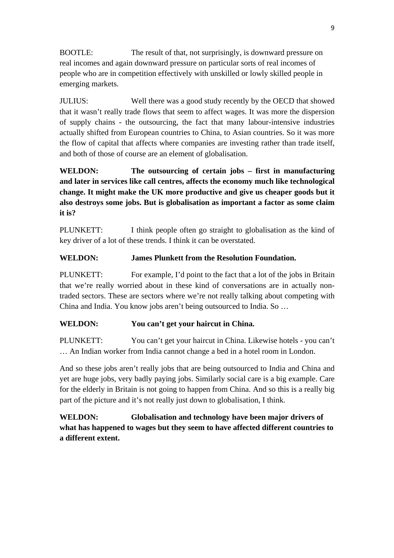BOOTLE: The result of that, not surprisingly, is downward pressure on real incomes and again downward pressure on particular sorts of real incomes of people who are in competition effectively with unskilled or lowly skilled people in emerging markets.

JULIUS: Well there was a good study recently by the OECD that showed that it wasn't really trade flows that seem to affect wages. It was more the dispersion of supply chains - the outsourcing, the fact that many labour-intensive industries actually shifted from European countries to China, to Asian countries. So it was more the flow of capital that affects where companies are investing rather than trade itself, and both of those of course are an element of globalisation.

**WELDON: The outsourcing of certain jobs – first in manufacturing and later in services like call centres, affects the economy much like technological change. It might make the UK more productive and give us cheaper goods but it also destroys some jobs. But is globalisation as important a factor as some claim it is?** 

PLUNKETT: I think people often go straight to globalisation as the kind of key driver of a lot of these trends. I think it can be overstated.

#### **WELDON: James Plunkett from the Resolution Foundation.**

PLUNKETT: For example, I'd point to the fact that a lot of the jobs in Britain that we're really worried about in these kind of conversations are in actually nontraded sectors. These are sectors where we're not really talking about competing with China and India. You know jobs aren't being outsourced to India. So …

#### **WELDON: You can't get your haircut in China.**

PLUNKETT: You can't get your haircut in China. Likewise hotels - you can't … An Indian worker from India cannot change a bed in a hotel room in London.

And so these jobs aren't really jobs that are being outsourced to India and China and yet are huge jobs, very badly paying jobs. Similarly social care is a big example. Care for the elderly in Britain is not going to happen from China. And so this is a really big part of the picture and it's not really just down to globalisation, I think.

**WELDON: Globalisation and technology have been major drivers of what has happened to wages but they seem to have affected different countries to a different extent.**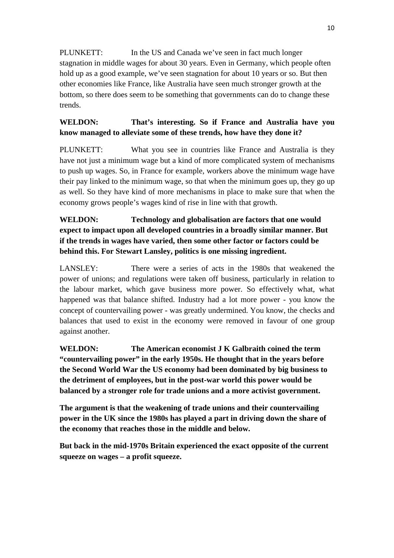PLUNKETT: In the US and Canada we've seen in fact much longer stagnation in middle wages for about 30 years. Even in Germany, which people often hold up as a good example, we've seen stagnation for about 10 years or so. But then other economies like France, like Australia have seen much stronger growth at the bottom, so there does seem to be something that governments can do to change these trends.

## **WELDON: That's interesting. So if France and Australia have you know managed to alleviate some of these trends, how have they done it?**

PLUNKETT: What you see in countries like France and Australia is they have not just a minimum wage but a kind of more complicated system of mechanisms to push up wages. So, in France for example, workers above the minimum wage have their pay linked to the minimum wage, so that when the minimum goes up, they go up as well. So they have kind of more mechanisms in place to make sure that when the economy grows people's wages kind of rise in line with that growth.

# **WELDON: Technology and globalisation are factors that one would expect to impact upon all developed countries in a broadly similar manner. But if the trends in wages have varied, then some other factor or factors could be behind this. For Stewart Lansley, politics is one missing ingredient.**

LANSLEY: There were a series of acts in the 1980s that weakened the power of unions; and regulations were taken off business, particularly in relation to the labour market, which gave business more power. So effectively what, what happened was that balance shifted. Industry had a lot more power - you know the concept of countervailing power - was greatly undermined. You know, the checks and balances that used to exist in the economy were removed in favour of one group against another.

**WELDON: The American economist J K Galbraith coined the term "countervailing power" in the early 1950s. He thought that in the years before the Second World War the US economy had been dominated by big business to the detriment of employees, but in the post-war world this power would be balanced by a stronger role for trade unions and a more activist government.** 

**The argument is that the weakening of trade unions and their countervailing power in the UK since the 1980s has played a part in driving down the share of the economy that reaches those in the middle and below.** 

**But back in the mid-1970s Britain experienced the exact opposite of the current squeeze on wages – a profit squeeze.**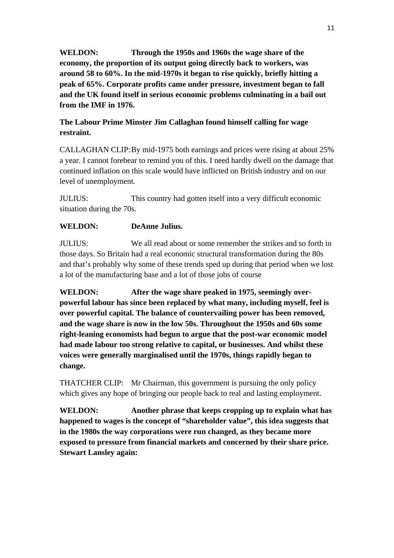**WELDON: Through the 1950s and 1960s the wage share of the economy, the proportion of its output going directly back to workers, was around 58 to 60%. In the mid-1970s it began to rise quickly, briefly hitting a peak of 65%. Corporate profits came under pressure, investment began to fall and the UK found itself in serious economic problems culminating in a bail out from the IMF in 1976.** 

## **The Labour Prime Minster Jim Callaghan found himself calling for wage restraint.**

CALLAGHAN CLIP: By mid-1975 both earnings and prices were rising at about 25% a year. I cannot forebear to remind you of this. I need hardly dwell on the damage that continued inflation on this scale would have inflicted on British industry and on our level of unemployment.

JULIUS: This country had gotten itself into a very difficult economic situation during the 70s.

## **WELDON: DeAnne Julius.**

JULIUS: We all read about or some remember the strikes and so forth in those days. So Britain had a real economic structural transformation during the 80s and that's probably why some of these trends sped up during that period when we lost a lot of the manufacturing base and a lot of those jobs of course

**WELDON: After the wage share peaked in 1975, seemingly overpowerful labour has since been replaced by what many, including myself, feel is over powerful capital. The balance of countervailing power has been removed, and the wage share is now in the low 50s. Throughout the 1950s and 60s some right-leaning economists had begun to argue that the post-war economic model had made labour too strong relative to capital, or businesses. And whilst these voices were generally marginalised until the 1970s, things rapidly began to change.**

THATCHER CLIP: Mr Chairman, this government is pursuing the only policy which gives any hope of bringing our people back to real and lasting employment.

**WELDON: Another phrase that keeps cropping up to explain what has happened to wages is the concept of "shareholder value", this idea suggests that in the 1980s the way corporations were run changed, as they became more exposed to pressure from financial markets and concerned by their share price. Stewart Lansley again:**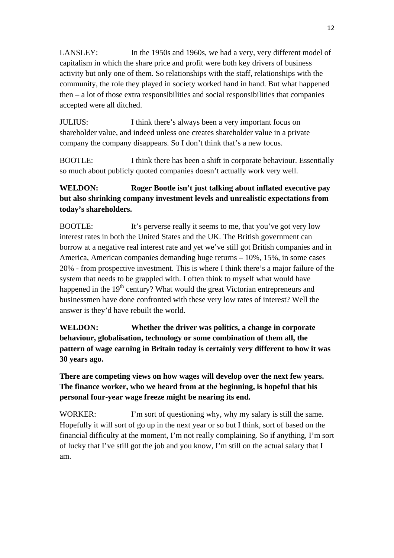LANSLEY: In the 1950s and 1960s, we had a very, very different model of capitalism in which the share price and profit were both key drivers of business activity but only one of them. So relationships with the staff, relationships with the community, the role they played in society worked hand in hand. But what happened then – a lot of those extra responsibilities and social responsibilities that companies accepted were all ditched.

JULIUS: I think there's always been a very important focus on shareholder value, and indeed unless one creates shareholder value in a private company the company disappears. So I don't think that's a new focus.

BOOTLE: I think there has been a shift in corporate behaviour. Essentially so much about publicly quoted companies doesn't actually work very well.

# **WELDON: Roger Bootle isn't just talking about inflated executive pay but also shrinking company investment levels and unrealistic expectations from today's shareholders.**

BOOTLE: It's perverse really it seems to me, that you've got very low interest rates in both the United States and the UK. The British government can borrow at a negative real interest rate and yet we've still got British companies and in America, American companies demanding huge returns – 10%, 15%, in some cases 20% - from prospective investment. This is where I think there's a major failure of the system that needs to be grappled with. I often think to myself what would have happened in the 19<sup>th</sup> century? What would the great Victorian entrepreneurs and businessmen have done confronted with these very low rates of interest? Well the answer is they'd have rebuilt the world.

**WELDON: Whether the driver was politics, a change in corporate behaviour, globalisation, technology or some combination of them all, the pattern of wage earning in Britain today is certainly very different to how it was 30 years ago.** 

**There are competing views on how wages will develop over the next few years. The finance worker, who we heard from at the beginning, is hopeful that his personal four-year wage freeze might be nearing its end.** 

WORKER: I'm sort of questioning why, why my salary is still the same. Hopefully it will sort of go up in the next year or so but I think, sort of based on the financial difficulty at the moment, I'm not really complaining. So if anything, I'm sort of lucky that I've still got the job and you know, I'm still on the actual salary that I am.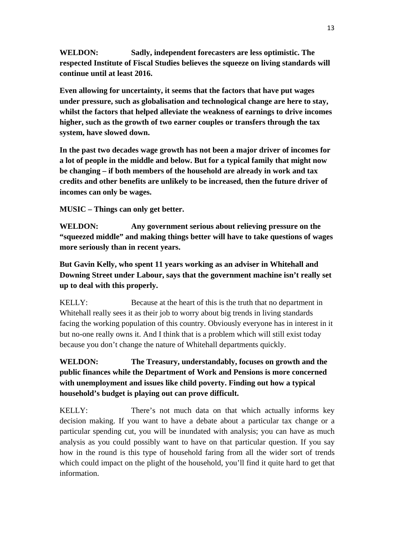**WELDON: Sadly, independent forecasters are less optimistic. The respected Institute of Fiscal Studies believes the squeeze on living standards will continue until at least 2016.** 

**Even allowing for uncertainty, it seems that the factors that have put wages under pressure, such as globalisation and technological change are here to stay, whilst the factors that helped alleviate the weakness of earnings to drive incomes higher, such as the growth of two earner couples or transfers through the tax system, have slowed down.** 

**In the past two decades wage growth has not been a major driver of incomes for a lot of people in the middle and below. But for a typical family that might now be changing – if both members of the household are already in work and tax credits and other benefits are unlikely to be increased, then the future driver of incomes can only be wages.** 

**MUSIC – Things can only get better.** 

**WELDON: Any government serious about relieving pressure on the "squeezed middle" and making things better will have to take questions of wages more seriously than in recent years.** 

**But Gavin Kelly, who spent 11 years working as an adviser in Whitehall and Downing Street under Labour, says that the government machine isn't really set up to deal with this properly.**

KELLY: Because at the heart of this is the truth that no department in Whitehall really sees it as their job to worry about big trends in living standards facing the working population of this country. Obviously everyone has in interest in it but no-one really owns it. And I think that is a problem which will still exist today because you don't change the nature of Whitehall departments quickly.

# **WELDON: The Treasury, understandably, focuses on growth and the public finances while the Department of Work and Pensions is more concerned with unemployment and issues like child poverty. Finding out how a typical household's budget is playing out can prove difficult.**

KELLY: There's not much data on that which actually informs key decision making. If you want to have a debate about a particular tax change or a particular spending cut, you will be inundated with analysis; you can have as much analysis as you could possibly want to have on that particular question. If you say how in the round is this type of household faring from all the wider sort of trends which could impact on the plight of the household, you'll find it quite hard to get that information.